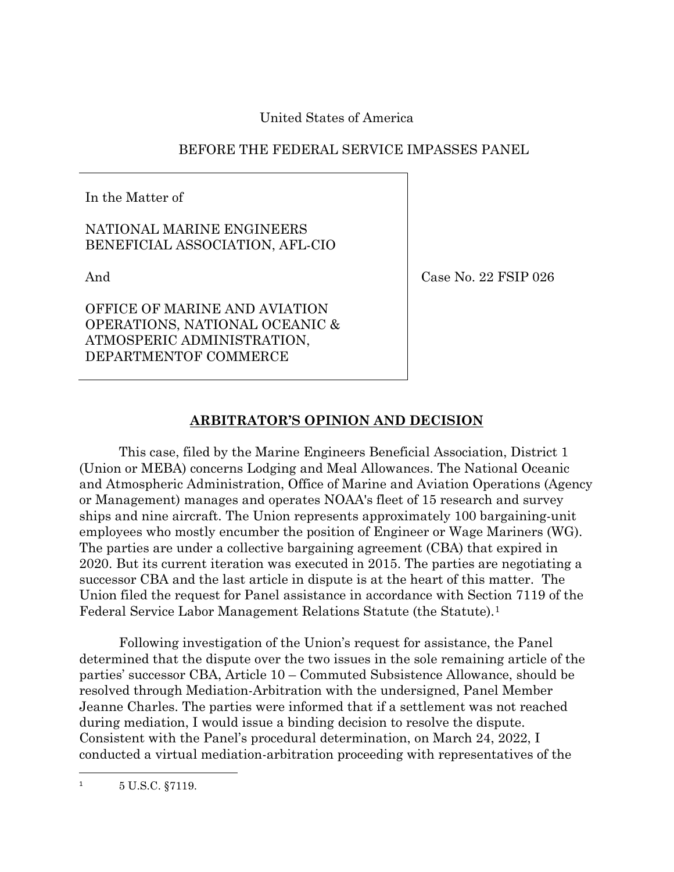United States of America

## BEFORE THE FEDERAL SERVICE IMPASSES PANEL

In the Matter of

NATIONAL MARINE ENGINEERS BENEFICIAL ASSOCIATION, AFL-CIO

And

Case No. 22 FSIP 026

OFFICE OF MARINE AND AVIATION OPERATIONS, NATIONAL OCEANIC & ATMOSPERIC ADMINISTRATION, DEPARTMENTOF COMMERCE

# **ARBITRATOR'S OPINION AND DECISION**

This case, filed by the Marine Engineers Beneficial Association, District 1 (Union or MEBA) concerns Lodging and Meal Allowances. The National Oceanic and Atmospheric Administration, Office of Marine and Aviation Operations (Agency or Management) manages and operates NOAA's fleet of 15 research and survey ships and nine aircraft. The Union represents approximately 100 bargaining-unit employees who mostly encumber the position of Engineer or Wage Mariners (WG). The parties are under a collective bargaining agreement (CBA) that expired in 2020. But its current iteration was executed in 2015. The parties are negotiating a successor CBA and the last article in dispute is at the heart of this matter. The Union filed the request for Panel assistance in accordance with Section 7119 of the Federal Service Labor Management Relations Statute (the Statute).[1](#page-0-0)

Following investigation of the Union's request for assistance, the Panel determined that the dispute over the two issues in the sole remaining article of the parties' successor CBA, Article 10 – Commuted Subsistence Allowance, should be resolved through Mediation-Arbitration with the undersigned, Panel Member Jeanne Charles. The parties were informed that if a settlement was not reached during mediation, I would issue a binding decision to resolve the dispute. Consistent with the Panel's procedural determination, on March 24, 2022, I conducted a virtual mediation-arbitration proceeding with representatives of the

<span id="page-0-0"></span><sup>1</sup> 5 U.S.C. §7119.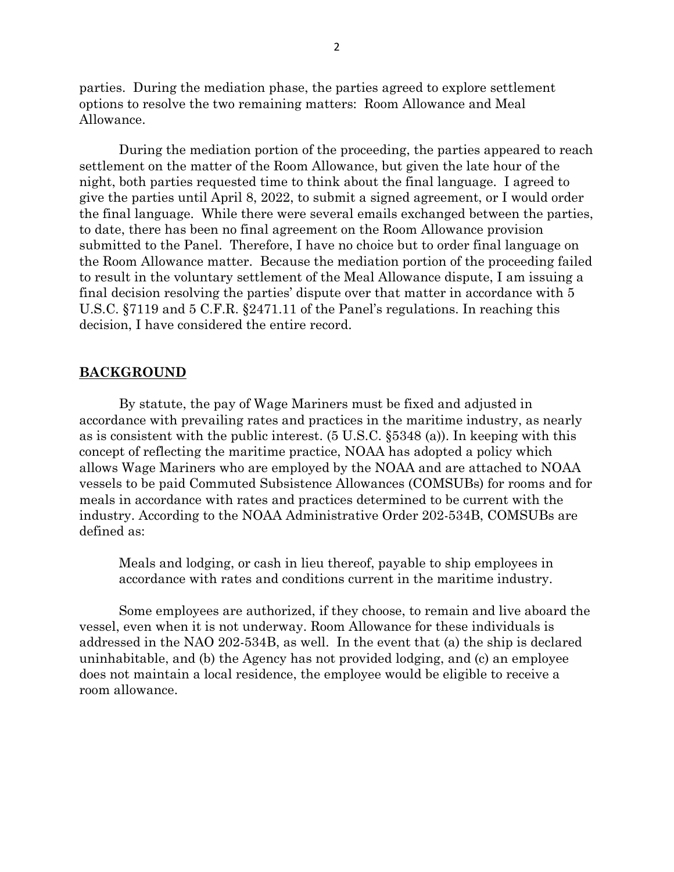parties. During the mediation phase, the parties agreed to explore settlement options to resolve the two remaining matters: Room Allowance and Meal Allowance.

During the mediation portion of the proceeding, the parties appeared to reach settlement on the matter of the Room Allowance, but given the late hour of the night, both parties requested time to think about the final language. I agreed to give the parties until April 8, 2022, to submit a signed agreement, or I would order the final language. While there were several emails exchanged between the parties, to date, there has been no final agreement on the Room Allowance provision submitted to the Panel. Therefore, I have no choice but to order final language on the Room Allowance matter. Because the mediation portion of the proceeding failed to result in the voluntary settlement of the Meal Allowance dispute, I am issuing a final decision resolving the parties' dispute over that matter in accordance with 5 U.S.C. §7119 and 5 C.F.R. §2471.11 of the Panel's regulations. In reaching this decision, I have considered the entire record.

## **BACKGROUND**

By statute, the pay of Wage Mariners must be fixed and adjusted in accordance with prevailing rates and practices in the maritime industry, as nearly as is consistent with the public interest. (5 U.S.C. §5348 (a)). In keeping with this concept of reflecting the maritime practice, NOAA has adopted a policy which allows Wage Mariners who are employed by the NOAA and are attached to NOAA vessels to be paid Commuted Subsistence Allowances (COMSUBs) for rooms and for meals in accordance with rates and practices determined to be current with the industry. According to the NOAA Administrative Order 202-534B, COMSUBs are defined as:

Meals and lodging, or cash in lieu thereof, payable to ship employees in accordance with rates and conditions current in the maritime industry.

Some employees are authorized, if they choose, to remain and live aboard the vessel, even when it is not underway. Room Allowance for these individuals is addressed in the NAO 202-534B, as well. In the event that (a) the ship is declared uninhabitable, and (b) the Agency has not provided lodging, and (c) an employee does not maintain a local residence, the employee would be eligible to receive a room allowance.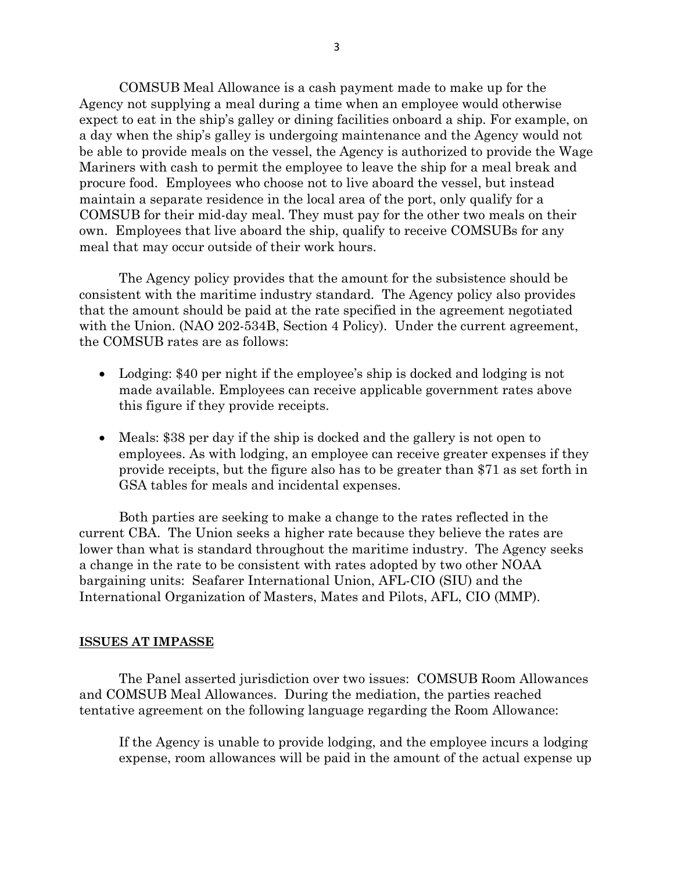COMSUB Meal Allowance is a cash payment made to make up for the Agency not supplying a meal during a time when an employee would otherwise expect to eat in the ship's galley or dining facilities onboard a ship. For example, on a day when the ship's galley is undergoing maintenance and the Agency would not be able to provide meals on the vessel, the Agency is authorized to provide the Wage Mariners with cash to permit the employee to leave the ship for a meal break and procure food. Employees who choose not to live aboard the vessel, but instead maintain a separate residence in the local area of the port, only qualify for a COMSUB for their mid-day meal. They must pay for the other two meals on their own. Employees that live aboard the ship, qualify to receive COMSUBs for any meal that may occur outside of their work hours.

The Agency policy provides that the amount for the subsistence should be consistent with the maritime industry standard. The Agency policy also provides that the amount should be paid at the rate specified in the agreement negotiated with the Union. (NAO 202-534B, Section 4 Policy). Under the current agreement, the COMSUB rates are as follows:

- Lodging: \$40 per night if the employee's ship is docked and lodging is not made available. Employees can receive applicable government rates above this figure if they provide receipts.
- Meals: \$38 per day if the ship is docked and the gallery is not open to employees. As with lodging, an employee can receive greater expenses if they provide receipts, but the figure also has to be greater than \$71 as set forth in GSA tables for meals and incidental expenses.

Both parties are seeking to make a change to the rates reflected in the current CBA. The Union seeks a higher rate because they believe the rates are lower than what is standard throughout the maritime industry. The Agency seeks a change in the rate to be consistent with rates adopted by two other NOAA bargaining units: Seafarer International Union, AFL-CIO (SIU) and the International Organization of Masters, Mates and Pilots, AFL, CIO (MMP).

## **ISSUES AT IMPASSE**

The Panel asserted jurisdiction over two issues: COMSUB Room Allowances and COMSUB Meal Allowances. During the mediation, the parties reached tentative agreement on the following language regarding the Room Allowance:

If the Agency is unable to provide lodging, and the employee incurs a lodging expense, room allowances will be paid in the amount of the actual expense up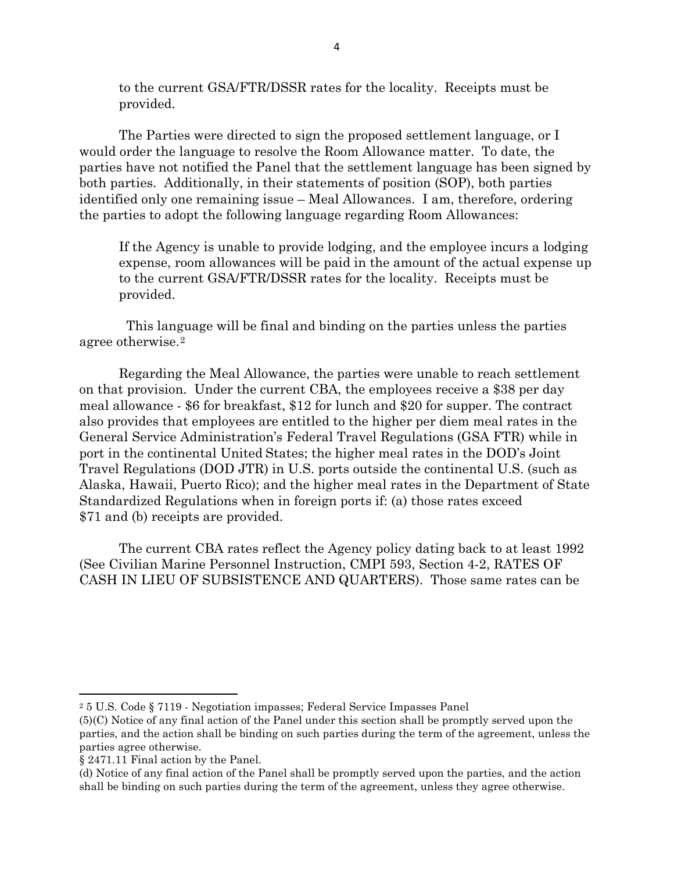to the current GSA/FTR/DSSR rates for the locality. Receipts must be provided.

The Parties were directed to sign the proposed settlement language, or I would order the language to resolve the Room Allowance matter. To date, the parties have not notified the Panel that the settlement language has been signed by both parties. Additionally, in their statements of position (SOP), both parties identified only one remaining issue – Meal Allowances. I am, therefore, ordering the parties to adopt the following language regarding Room Allowances:

If the Agency is unable to provide lodging, and the employee incurs a lodging expense, room allowances will be paid in the amount of the actual expense up to the current GSA/FTR/DSSR rates for the locality. Receipts must be provided.

 This language will be final and binding on the parties unless the parties agree otherwise.[2](#page-3-0)

Regarding the Meal Allowance, the parties were unable to reach settlement on that provision. Under the current CBA, the employees receive a \$38 per day meal allowance - \$6 for breakfast, \$12 for lunch and \$20 for supper. The contract also provides that employees are entitled to the higher per diem meal rates in the General Service Administration's Federal Travel Regulations (GSA FTR) while in port in the continental United States; the higher meal rates in the DOD's Joint Travel Regulations (DOD JTR) in U.S. ports outside the continental U.S. (such as Alaska, Hawaii, Puerto Rico); and the higher meal rates in the Department of State Standardized Regulations when in foreign ports if: (a) those rates exceed \$71 and (b) receipts are provided.

The current CBA rates reflect the Agency policy dating back to at least 1992 (See Civilian Marine Personnel Instruction, CMPI 593, Section 4-2, RATES OF CASH IN LIEU OF SUBSISTENCE AND QUARTERS). Those same rates can be

 $\overline{\phantom{a}}$ 

<span id="page-3-0"></span><sup>2</sup> 5 U.S. Code § 7119 - Negotiation impasses; Federal Service Impasses Panel

<sup>(5)(</sup>C) Notice of any final action of the Panel under this section shall be promptly served upon the parties, and the action shall be binding on such parties during the term of the agreement, unless the parties agree otherwise.

<sup>§ 2471.11</sup> Final action by the Panel.

<sup>(</sup>d) Notice of any final action of the Panel shall be promptly served upon the parties, and the action shall be binding on such parties during the term of the agreement, unless they agree otherwise.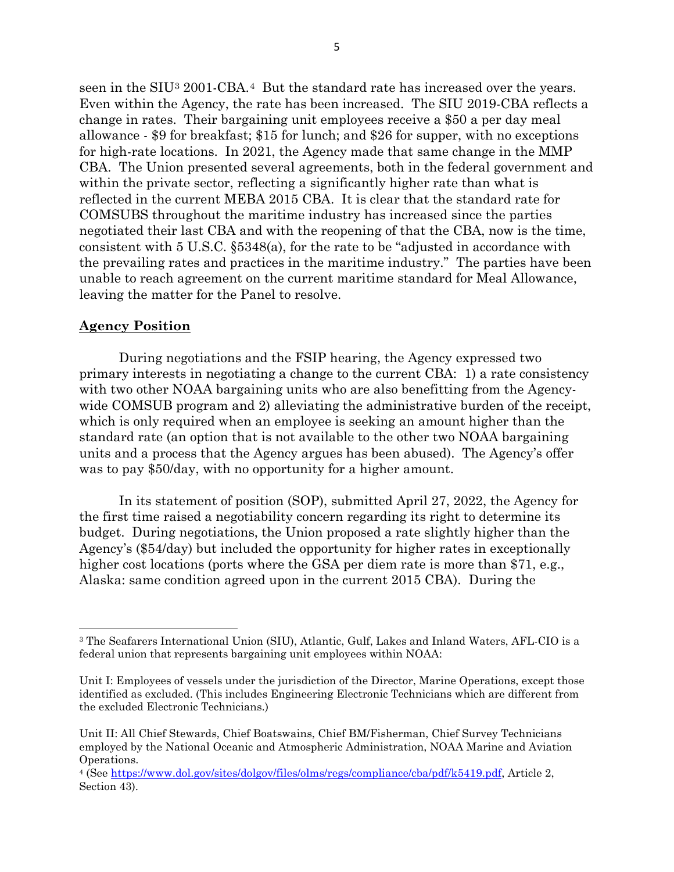seen in the SIU[3](#page-4-0) 2001-CBA.[4](#page-4-1) But the standard rate has increased over the years. Even within the Agency, the rate has been increased. The SIU 2019-CBA reflects a change in rates. Their bargaining unit employees receive a \$50 a per day meal allowance - \$9 for breakfast; \$15 for lunch; and \$26 for supper, with no exceptions for high-rate locations. In 2021, the Agency made that same change in the MMP CBA. The Union presented several agreements, both in the federal government and within the private sector, reflecting a significantly higher rate than what is reflected in the current MEBA 2015 CBA. It is clear that the standard rate for COMSUBS throughout the maritime industry has increased since the parties negotiated their last CBA and with the reopening of that the CBA, now is the time, consistent with 5 U.S.C. §5348(a), for the rate to be "adjusted in accordance with the prevailing rates and practices in the maritime industry." The parties have been unable to reach agreement on the current maritime standard for Meal Allowance, leaving the matter for the Panel to resolve.

## **Agency Position**

l

During negotiations and the FSIP hearing, the Agency expressed two primary interests in negotiating a change to the current CBA: 1) a rate consistency with two other NOAA bargaining units who are also benefitting from the Agencywide COMSUB program and 2) alleviating the administrative burden of the receipt, which is only required when an employee is seeking an amount higher than the standard rate (an option that is not available to the other two NOAA bargaining units and a process that the Agency argues has been abused). The Agency's offer was to pay \$50/day, with no opportunity for a higher amount.

In its statement of position (SOP), submitted April 27, 2022, the Agency for the first time raised a negotiability concern regarding its right to determine its budget. During negotiations, the Union proposed a rate slightly higher than the Agency's (\$54/day) but included the opportunity for higher rates in exceptionally higher cost locations (ports where the GSA per diem rate is more than \$71, e.g., Alaska: same condition agreed upon in the current 2015 CBA). During the

<span id="page-4-0"></span><sup>3</sup> The Seafarers International Union (SIU), Atlantic, Gulf, Lakes and Inland Waters, AFL-CIO is a federal union that represents bargaining unit employees within NOAA:

Unit I: Employees of vessels under the jurisdiction of the Director, Marine Operations, except those identified as excluded. (This includes Engineering Electronic Technicians which are different from the excluded Electronic Technicians.)

Unit II: All Chief Stewards, Chief Boatswains, Chief BM/Fisherman, Chief Survey Technicians employed by the National Oceanic and Atmospheric Administration, NOAA Marine and Aviation Operations.

<span id="page-4-1"></span><sup>4</sup> (See [https://www.dol.gov/sites/dolgov/files/olms/regs/compliance/cba/pdf/k5419.pdf,](https://www.dol.gov/sites/dolgov/files/olms/regs/compliance/cba/pdf/k5419.pdf) Article 2, Section 43).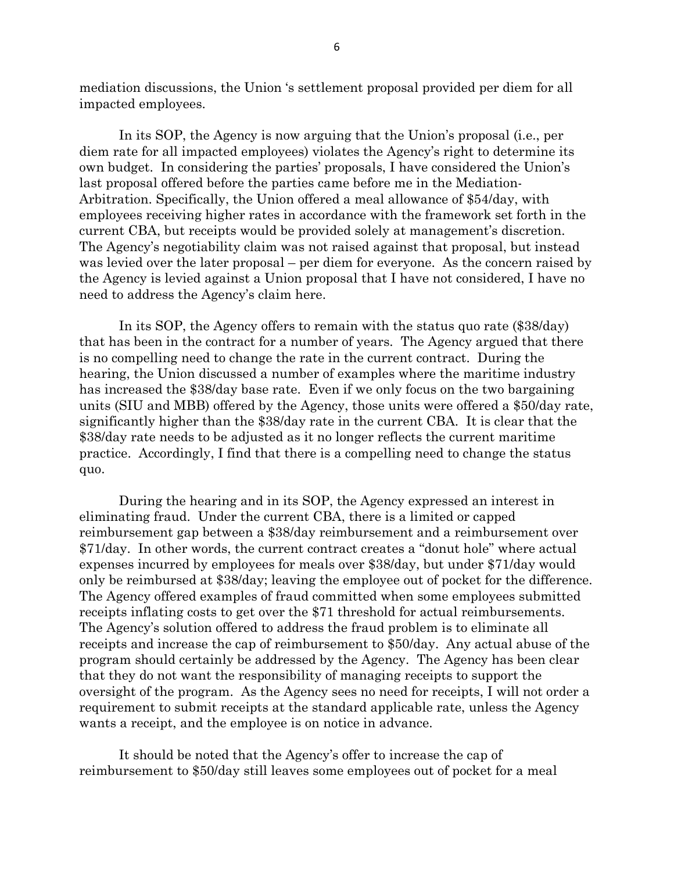mediation discussions, the Union 's settlement proposal provided per diem for all impacted employees.

In its SOP, the Agency is now arguing that the Union's proposal (i.e., per diem rate for all impacted employees) violates the Agency's right to determine its own budget. In considering the parties' proposals, I have considered the Union's last proposal offered before the parties came before me in the Mediation-Arbitration. Specifically, the Union offered a meal allowance of \$54/day, with employees receiving higher rates in accordance with the framework set forth in the current CBA, but receipts would be provided solely at management's discretion. The Agency's negotiability claim was not raised against that proposal, but instead was levied over the later proposal – per diem for everyone. As the concern raised by the Agency is levied against a Union proposal that I have not considered, I have no need to address the Agency's claim here.

In its SOP, the Agency offers to remain with the status quo rate (\$38/day) that has been in the contract for a number of years. The Agency argued that there is no compelling need to change the rate in the current contract. During the hearing, the Union discussed a number of examples where the maritime industry has increased the \$38/day base rate. Even if we only focus on the two bargaining units (SIU and MBB) offered by the Agency, those units were offered a \$50/day rate, significantly higher than the \$38/day rate in the current CBA. It is clear that the \$38/day rate needs to be adjusted as it no longer reflects the current maritime practice. Accordingly, I find that there is a compelling need to change the status quo.

During the hearing and in its SOP, the Agency expressed an interest in eliminating fraud. Under the current CBA, there is a limited or capped reimbursement gap between a \$38/day reimbursement and a reimbursement over \$71/day. In other words, the current contract creates a "donut hole" where actual expenses incurred by employees for meals over \$38/day, but under \$71/day would only be reimbursed at \$38/day; leaving the employee out of pocket for the difference. The Agency offered examples of fraud committed when some employees submitted receipts inflating costs to get over the \$71 threshold for actual reimbursements. The Agency's solution offered to address the fraud problem is to eliminate all receipts and increase the cap of reimbursement to \$50/day. Any actual abuse of the program should certainly be addressed by the Agency. The Agency has been clear that they do not want the responsibility of managing receipts to support the oversight of the program. As the Agency sees no need for receipts, I will not order a requirement to submit receipts at the standard applicable rate, unless the Agency wants a receipt, and the employee is on notice in advance.

It should be noted that the Agency's offer to increase the cap of reimbursement to \$50/day still leaves some employees out of pocket for a meal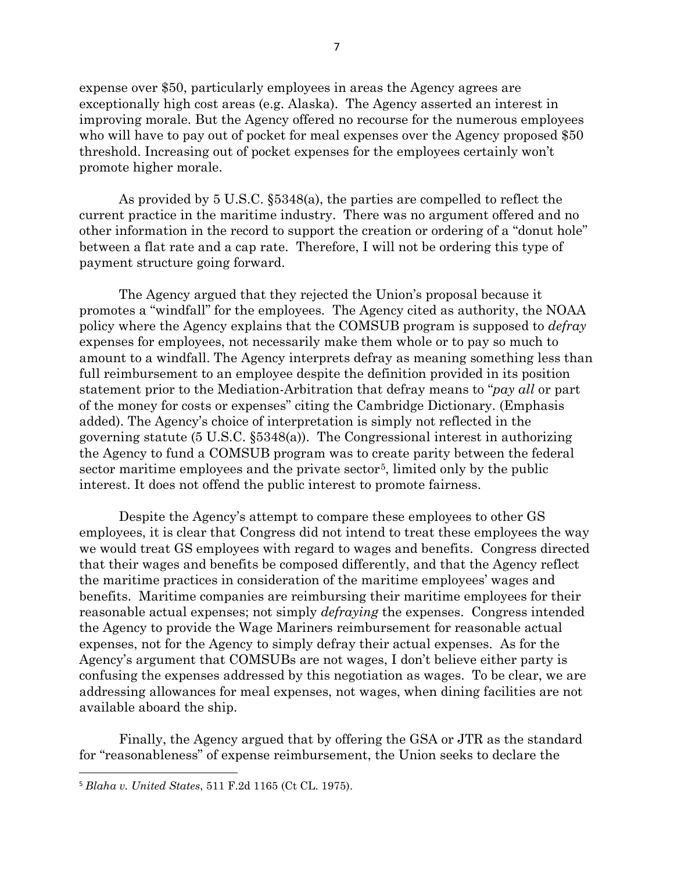expense over \$50, particularly employees in areas the Agency agrees are exceptionally high cost areas (e.g. Alaska). The Agency asserted an interest in improving morale. But the Agency offered no recourse for the numerous employees who will have to pay out of pocket for meal expenses over the Agency proposed \$50 threshold. Increasing out of pocket expenses for the employees certainly won't promote higher morale.

As provided by 5 U.S.C. §5348(a), the parties are compelled to reflect the current practice in the maritime industry. There was no argument offered and no other information in the record to support the creation or ordering of a "donut hole" between a flat rate and a cap rate. Therefore, I will not be ordering this type of payment structure going forward.

The Agency argued that they rejected the Union's proposal because it promotes a "windfall" for the employees. The Agency cited as authority, the NOAA policy where the Agency explains that the COMSUB program is supposed to *defray* expenses for employees, not necessarily make them whole or to pay so much to amount to a windfall. The Agency interprets defray as meaning something less than full reimbursement to an employee despite the definition provided in its position statement prior to the Mediation-Arbitration that defray means to "*pay all* or part of the money for costs or expenses" citing the Cambridge Dictionary. (Emphasis added). The Agency's choice of interpretation is simply not reflected in the governing statute (5 U.S.C. §5348(a)). The Congressional interest in authorizing the Agency to fund a COMSUB program was to create parity between the federal sector maritime employees and the private sector<sup>[5](#page-6-0)</sup>, limited only by the public interest. It does not offend the public interest to promote fairness.

Despite the Agency's attempt to compare these employees to other GS employees, it is clear that Congress did not intend to treat these employees the way we would treat GS employees with regard to wages and benefits. Congress directed that their wages and benefits be composed differently, and that the Agency reflect the maritime practices in consideration of the maritime employees' wages and benefits. Maritime companies are reimbursing their maritime employees for their reasonable actual expenses; not simply *defraying* the expenses. Congress intended the Agency to provide the Wage Mariners reimbursement for reasonable actual expenses, not for the Agency to simply defray their actual expenses. As for the Agency's argument that COMSUBs are not wages, I don't believe either party is confusing the expenses addressed by this negotiation as wages. To be clear, we are addressing allowances for meal expenses, not wages, when dining facilities are not available aboard the ship.

Finally, the Agency argued that by offering the GSA or JTR as the standard for "reasonableness" of expense reimbursement, the Union seeks to declare the

<span id="page-6-0"></span> <sup>5</sup> *Blaha v. United States*, 511 F.2d 1165 (Ct CL. 1975).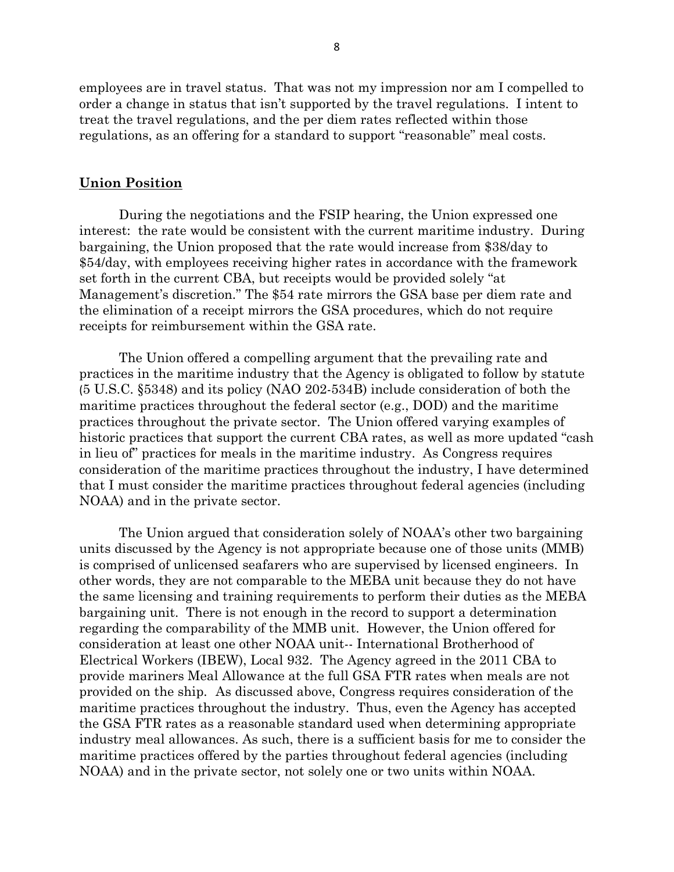employees are in travel status. That was not my impression nor am I compelled to order a change in status that isn't supported by the travel regulations. I intent to treat the travel regulations, and the per diem rates reflected within those regulations, as an offering for a standard to support "reasonable" meal costs.

### **Union Position**

During the negotiations and the FSIP hearing, the Union expressed one interest: the rate would be consistent with the current maritime industry. During bargaining, the Union proposed that the rate would increase from \$38/day to \$54/day, with employees receiving higher rates in accordance with the framework set forth in the current CBA, but receipts would be provided solely "at Management's discretion." The \$54 rate mirrors the GSA base per diem rate and the elimination of a receipt mirrors the GSA procedures, which do not require receipts for reimbursement within the GSA rate.

The Union offered a compelling argument that the prevailing rate and practices in the maritime industry that the Agency is obligated to follow by statute (5 U.S.C. §5348) and its policy (NAO 202-534B) include consideration of both the maritime practices throughout the federal sector (e.g., DOD) and the maritime practices throughout the private sector. The Union offered varying examples of historic practices that support the current CBA rates, as well as more updated "cash in lieu of" practices for meals in the maritime industry. As Congress requires consideration of the maritime practices throughout the industry, I have determined that I must consider the maritime practices throughout federal agencies (including NOAA) and in the private sector.

The Union argued that consideration solely of NOAA's other two bargaining units discussed by the Agency is not appropriate because one of those units (MMB) is comprised of unlicensed seafarers who are supervised by licensed engineers. In other words, they are not comparable to the MEBA unit because they do not have the same licensing and training requirements to perform their duties as the MEBA bargaining unit. There is not enough in the record to support a determination regarding the comparability of the MMB unit. However, the Union offered for consideration at least one other NOAA unit-- International Brotherhood of Electrical Workers (IBEW), Local 932. The Agency agreed in the 2011 CBA to provide mariners Meal Allowance at the full GSA FTR rates when meals are not provided on the ship. As discussed above, Congress requires consideration of the maritime practices throughout the industry. Thus, even the Agency has accepted the GSA FTR rates as a reasonable standard used when determining appropriate industry meal allowances. As such, there is a sufficient basis for me to consider the maritime practices offered by the parties throughout federal agencies (including NOAA) and in the private sector, not solely one or two units within NOAA.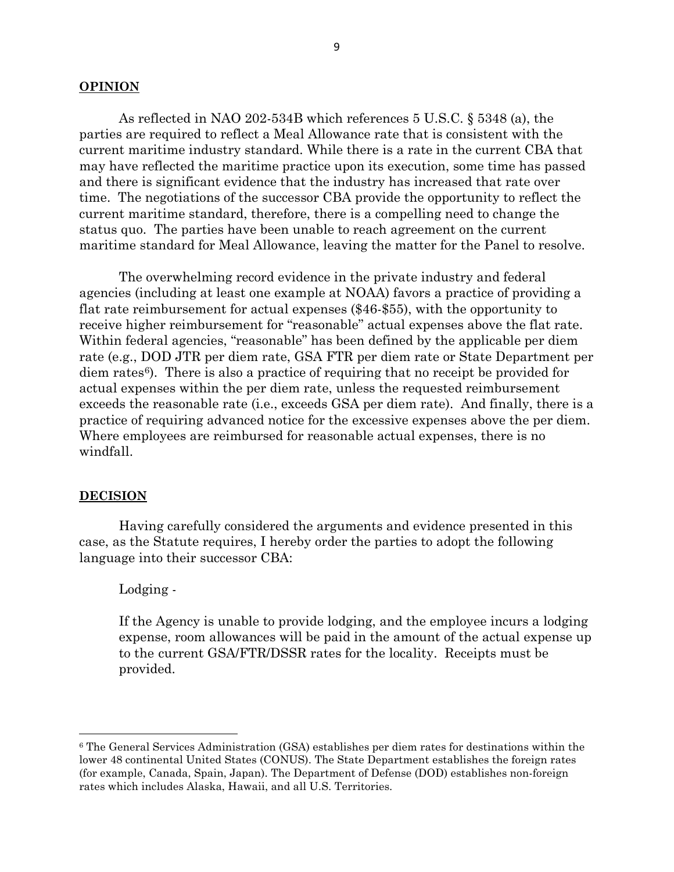#### **OPINION**

As reflected in NAO 202-534B which references 5 U.S.C. § 5348 (a), the parties are required to reflect a Meal Allowance rate that is consistent with the current maritime industry standard. While there is a rate in the current CBA that may have reflected the maritime practice upon its execution, some time has passed and there is significant evidence that the industry has increased that rate over time. The negotiations of the successor CBA provide the opportunity to reflect the current maritime standard, therefore, there is a compelling need to change the status quo. The parties have been unable to reach agreement on the current maritime standard for Meal Allowance, leaving the matter for the Panel to resolve.

The overwhelming record evidence in the private industry and federal agencies (including at least one example at NOAA) favors a practice of providing a flat rate reimbursement for actual expenses (\$46-\$55), with the opportunity to receive higher reimbursement for "reasonable" actual expenses above the flat rate. Within federal agencies, "reasonable" has been defined by the applicable per diem rate (e.g., DOD JTR per diem rate, GSA FTR per diem rate or State Department per diem rates<sup>6</sup>). There is also a practice of requiring that no receipt be provided for actual expenses within the per diem rate, unless the requested reimbursement exceeds the reasonable rate (i.e., exceeds GSA per diem rate). And finally, there is a practice of requiring advanced notice for the excessive expenses above the per diem. Where employees are reimbursed for reasonable actual expenses, there is no windfall.

#### **DECISION**

 $\overline{\phantom{a}}$ 

Having carefully considered the arguments and evidence presented in this case, as the Statute requires, I hereby order the parties to adopt the following language into their successor CBA:

#### Lodging -

If the Agency is unable to provide lodging, and the employee incurs a lodging expense, room allowances will be paid in the amount of the actual expense up to the current GSA/FTR/DSSR rates for the locality. Receipts must be provided.

<span id="page-8-0"></span><sup>6</sup> The General Services Administration (GSA) establishes per diem rates for destinations within the lower 48 continental United States (CONUS). The State Department establishes the foreign rates (for example, Canada, Spain, Japan). The Department of Defense (DOD) establishes non-foreign rates which includes Alaska, Hawaii, and all U.S. Territories.